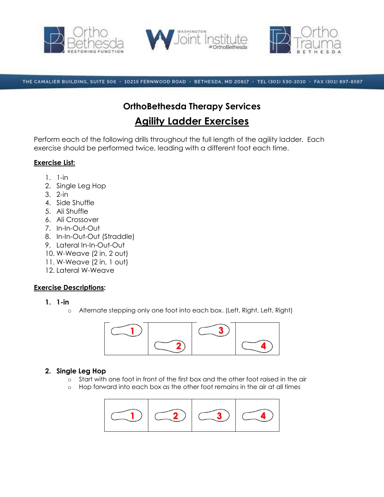





THE CAMALIER BUILDING, SUITE 506 · 10215 FERNWOOD ROAD · BETHESDA, MD 20817 · TEL (301) 530-1010 · FAX (301) 897-8597

# **OrthoBethesda Therapy Services Agility Ladder Exercises**

Perform each of the following drills throughout the full length of the agility ladder. Each exercise should be performed twice, leading with a different foot each time.

# **Exercise List:**

- 1. 1-in
- 2. Single Leg Hop
- 3. 2-in
- 4. Side Shuffle
- 5. Ali Shuffle
- 6. Ali Crossover
- 7. In-In-Out-Out
- 8. In-In-Out-Out (Straddle)
- 9. Lateral In-In-Out-Out
- 10. W-Weave (2 in, 2 out)
- 11. W-Weave (2 in, 1 out)
- 12. Lateral W-Weave

# **Exercise Descriptions:**

- **1. 1-in**
	- o Alternate stepping only one foot into each box. (Left, Right, Left, Right)



# **2. Single Leg Hop**

- o Start with one foot in front of the first box and the other foot raised in the air
- o Hop forward into each box as the other foot remains in the air at all times

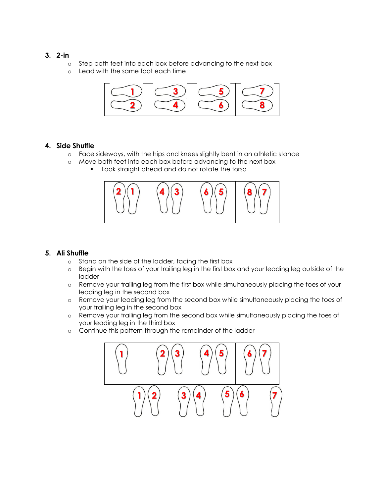### **3. 2-in**

- o Step both feet into each box before advancing to the next box
- o Lead with the same foot each time



### **4. Side Shuffle**

- o Face sideways, with the hips and knees slightly bent in an athletic stance
- o Move both feet into each box before advancing to the next box
	- **Look straight ahead and do not rotate the torso**



## **5. Ali Shuffle**

- o Stand on the side of the ladder, facing the first box
- o Begin with the toes of your trailing leg in the first box and your leading leg outside of the ladder
- o Remove your trailing leg from the first box while simultaneously placing the toes of your leading leg in the second box
- o Remove your leading leg from the second box while simultaneously placing the toes of your trailing leg in the second box
- o Remove your trailing leg from the second box while simultaneously placing the toes of your leading leg in the third box
- o Continue this pattern through the remainder of the ladder

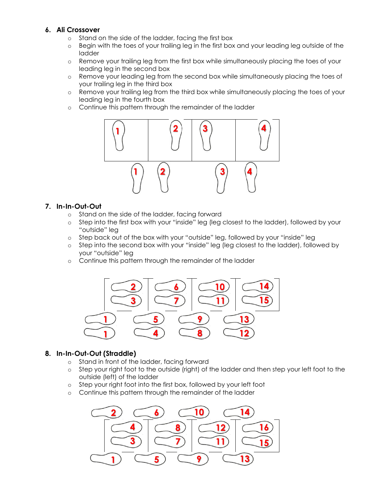# **6. Ali Crossover**

- o Stand on the side of the ladder, facing the first box
- o Begin with the toes of your trailing leg in the first box and your leading leg outside of the ladder
- o Remove your trailing leg from the first box while simultaneously placing the toes of your leading leg in the second box
- o Remove your leading leg from the second box while simultaneously placing the toes of your trailing leg in the third box
- o Remove your trailing leg from the third box while simultaneously placing the toes of your leading leg in the fourth box
- o Continue this pattern through the remainder of the ladder



#### **7. In-In-Out-Out**

- o Stand on the side of the ladder, facing forward
- o Step into the first box with your "inside" leg (leg closest to the ladder), followed by your "outside" leg
- o Step back out of the box with your "outside" leg, followed by your "inside" leg
- o Step into the second box with your "inside" leg (leg closest to the ladder), followed by your "outside" leg
- o Continue this pattern through the remainder of the ladder



#### **8. In-In-Out-Out (Straddle)**

- o Stand in front of the ladder, facing forward
- o Step your right foot to the outside (right) of the ladder and then step your left foot to the outside (left) of the ladder
- o Step your right foot into the first box, followed by your left foot
- o Continue this pattern through the remainder of the ladder

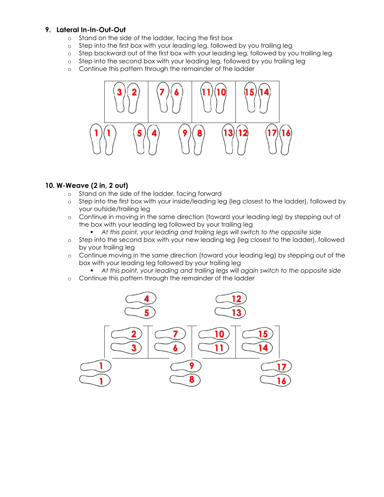### **9. Lateral In-In-Out-Out**

- o Stand on the side of the ladder, facing the first box
- o Step into the first box with your leading leg, followed by you trailing leg
- o Step backward out of the first box with your leading leg, followed by you trailing leg
- o Step into the second box with your leading leg, followed by you trailing leg
- o Continue this pattern through the remainder of the ladder



### **10. W-Weave (2 in, 2 out)**

- o Stand on the side of the ladder, facing forward
- o Step into the first box with your inside/leading leg (leg closest to the ladder), followed by your outside/trailing leg
- o Continue in moving in the same direction (toward your leading leg) by stepping out of the box with your leading leg followed by your trailing leg
	- **At this point, your leading and trailing legs will switch to the opposite side**
- o Step into the second box with your new leading leg (leg closest to the ladder), followed by your trailing leg
- o Continue moving in the same direction (toward your leading leg) by stepping out of the box with your leading leg followed by your trailing leg
	- **At this point, your leading and trailing legs will again switch to the opposite side**
- o Continue this pattern through the remainder of the ladder